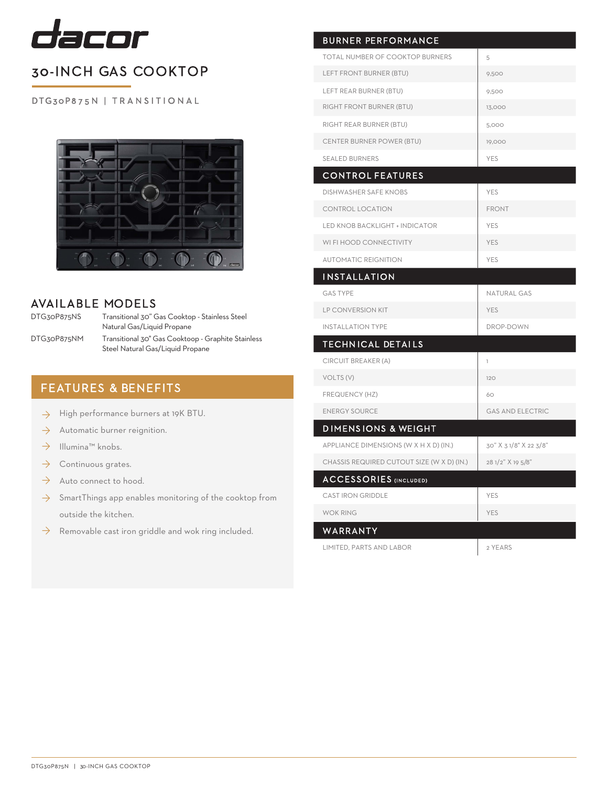

# 30-INCH GAS COOKTOP

DTG30P875N | TRANSITIONAL



### AVAILABLE MODELS

DTG30P875NS

DTG30P875NM

Transitional 30" Gas Cooktop - Stainless Steel Natural Gas/Liquid Propane Transitional 30" Gas Cooktoop - Graphite Stainless Steel Natural Gas/Liquid Propane

## FEATURES & BENEFITS

- High performance burners at 19K BTU. ◊
- Automatic burner reignition. ◊
- Illumina™ knobs. ◊
- Continuous grates. ◊
- Auto connect to hood.  $\rightarrow$
- $\rightarrow$  SmartThings app enables monitoring of the cooktop from outside the kitchen.
- $\rightarrow$  Removable cast iron griddle and wok ring included. WARRANTY

| <b>BURNER PERFORMANCE</b>                  |                         |
|--------------------------------------------|-------------------------|
| TOTAL NUMBER OF COOKTOP BURNERS            | 5                       |
| LEFT FRONT BURNER (BTU)                    | 9,500                   |
| LEFT REAR BURNER (BTU)                     | 9,500                   |
| RIGHT FRONT BURNER (BTU)                   | 13,000                  |
| RIGHT REAR BURNER (BTU)                    | 5,000                   |
| CENTER BURNER POWER (BTU)                  | 19,000                  |
| SEALED BURNERS                             | <b>YES</b>              |
| <b>CONTROL FEATURES</b>                    |                         |
| <b>DISHWASHER SAFE KNOBS</b>               | <b>YES</b>              |
| CONTROL LOCATION                           | <b>FRONT</b>            |
| LED KNOB BACKLIGHT + INDICATOR             | YES                     |
| WI FI HOOD CONNECTIVITY                    | <b>YES</b>              |
| <b>AUTOMATIC REIGNITION</b>                | YES                     |
| INSTALLATION                               |                         |
| <b>GAS TYPE</b>                            | <b>NATURAL GAS</b>      |
| LP CONVERSION KIT                          | YES                     |
| <b>INSTALLATION TYPE</b>                   | DROP-DOWN               |
| <b>TECHNICAL DETAILS</b>                   |                         |
| CIRCUIT BREAKER (A)                        | $\overline{1}$          |
| VOLTS (V)                                  | 120                     |
| FREQUENCY (HZ)                             | 60                      |
| <b>ENERGY SOURCE</b>                       | <b>GAS AND ELECTRIC</b> |
| <b>DIMENSIONS &amp; WEIGHT</b>             |                         |
| APPLIANCE DIMENSIONS (W X H X D) (IN.)     | 30" X 3 1/8" X 22 3/8"  |
| CHASSIS REQUIRED CUTOUT SIZE (W X D) (IN.) | 28 1/2" X 19 5/8"       |
| <b>ACCESSORIES (INCLUDED)</b>              |                         |
| <b>CAST IRON GRIDDLE</b>                   | YES                     |
| <b>WOK RING</b>                            | <b>YES</b>              |
| WARRANTY                                   |                         |
| <b>LIMITED. PARTS AND LABOR</b>            | 2 YEARS                 |